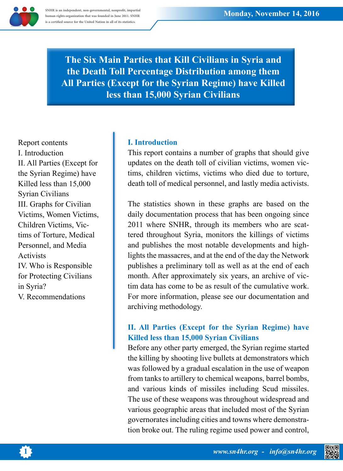

**SNHR** is an independent, non-governmental, nonprofit, impartial human rights organization that was founded in June 2011. SNHR is a certified source for the United Nation in all of its statistics.

> **The Six Main Parties that Kill Civilians in Syria and the Death Toll Percentage Distribution among them All Parties (Except for the Syrian Regime) have Killed less than 15,000 Syrian Civilians**

Report contents I. Introduction II. All Parties (Except for the Syrian Regime) have Killed less than  $15,000$ **Syrian Civilians** III. Graphs for Civilian Victims, Women Victims, tims of Torture, Medical Children Victims, Vic-Personnel, and Media **Activists** IV. Who is Responsible for Protecting Civilians in Syria? V. Recommendations

## **I.** Introduction

This report contains a number of graphs that should give tims, children victims, victims who died due to torture, updates on the death toll of civilian victims, women vicdeath toll of medical personnel, and lastly media activists.

The statistics shown in these graphs are based on the daily documentation process that has been ongoing since tered throughout Syria, monitors the killings of victims 2011 where SNHR, through its members who are scatand publishes the most notable developments and high-<br>lights the massacres, and at the end of the day the Network publishes a preliminary toll as well as at the end of each month. After approximately six years, an archive of victim data has come to be as result of the cumulative work. For more information, please see our documentation and archiving methodology.

## **II. All Parties (Except for the Syrian Regime) have** Killed less than 15,000 Syrian Civilians

Before any other party emerged, the Syrian regime started the killing by shooting live bullets at demonstrators which was followed by a gradual escalation in the use of weapon from tanks to artillery to chemical weapons, barrel bombs, and various kinds of missiles including Scud missiles. The use of these weapons was throughout widespread and various geographic areas that included most of the Syrian tion broke out. The ruling regime used power and control, governorates including cities and towns where demonstra-



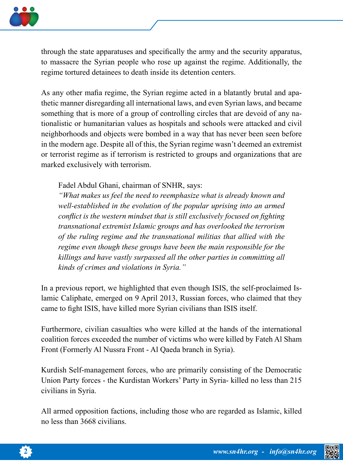

through the state apparatuses and specifically the army and the security apparatus, to massacre the Syrian people who rose up against the regime. Additionally, the regime tortured detainees to death inside its detention centers.

thetic manner disregarding all international laws, and even Syrian laws, and became As any other mafia regime, the Syrian regime acted in a blatantly brutal and apationalistic or humanitarian values as hospitals and schools were attacked and civil something that is more of a group of controlling circles that are devoid of any naneighborhoods and objects were bombed in a way that has never been seen before in the modern age. Despite all of this, the Syrian regime wasn't deemed an extremist or terrorist regime as if terrorism is restricted to groups and organizations that are marked exclusively with terrorism.

Fadel Abdul Ghani, chairman of SNHR, says:

*"What makes us feel the need to reemphasize what is already known and well-established in the evolution of the popular uprising into an armed conflict is the western mindset that is still exclusively focused on fighting transnational extremist Islamic groups and has overlooked the terrorism of the ruling regime and the transnational militias that allied with the regime even though these groups have been the main responsible for the killings and have vastly surpassed all the other parties in committing all*  $k$ *inds of crimes and violations in Syria.*"

the that caliphate, emerged on 9 April 2013, Russian forces, who claimed that they In a previous report, we highlighted that even though ISIS, the self-proclaimed Iscame to fight ISIS, have killed more Syrian civilians than ISIS itself.

Furthermore, civilian casualties who were killed at the hands of the international coalition forces exceeded the number of victims who were killed by Fateh Al Sham Front (Formerly Al Nussra Front - Al Qaeda branch in Syria).

Kurdish Self-management forces, who are primarily consisting of the Democratic Union Party forces - the Kurdistan Workers' Party in Syria- killed no less than 215 civilians in Syria.

All armed opposition factions, including those who are regarded as Islamic, killed no less than 3668 civilians.



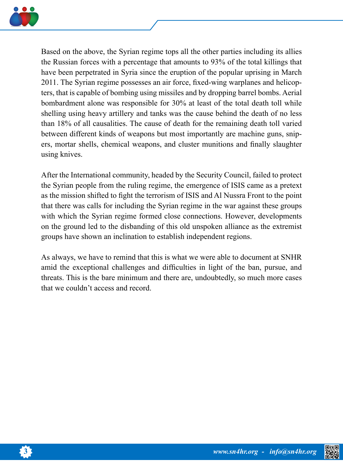

Based on the above, the Syrian regime tops all the other parties including its allies the Russian forces with a percentage that amounts to 93% of the total killings that have been perpetrated in Syria since the eruption of the popular uprising in March ters, that is capable of bombing using missiles and by dropping barrel bombs. Aerial 2011. The Syrian regime possesses an air force, fixed-wing warplanes and helicopbombardment alone was responsible for 30% at least of the total death toll while shelling using heavy artillery and tanks was the cause behind the death of no less than 18% of all causalities. The cause of death for the remaining death toll varied ers, mortar shells, chemical weapons, and cluster munitions and finally slaughter between different kinds of weapons but most importantly are machine guns, snipusing knives.

After the International community, headed by the Security Council, failed to protect the Syrian people from the ruling regime, the emergence of ISIS came as a pretext as the mission shifted to fight the terrorism of ISIS and Al Nussra Front to the point that there was calls for including the Syrian regime in the war against these groups with which the Syrian regime formed close connections. However, developments on the ground led to the disbanding of this old unspoken alliance as the extremist groups have shown an inclination to establish independent regions.

As always, we have to remind that this is what we were able to document at SNHR amid the exceptional challenges and difficulties in light of the ban, pursue, and threats. This is the bare minimum and there are, undoubtedly, so much more cases that we couldn't access and record.





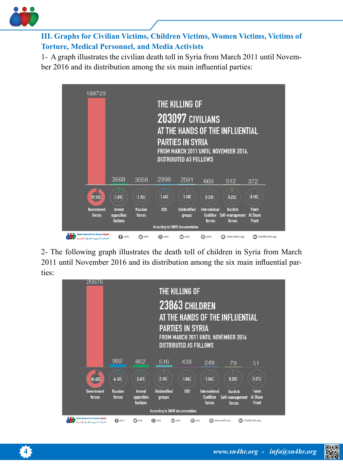

 **III. Graphs for Civilian Victims, Children Victims, Women Victims, Victims of Torture, Medical Personnel, and Media Activists** 

1- A graph illustrates the civilian death toll in Syria from March 2011 until November 2016 and its distribution among the six main influential parties:



2- The following graph illustrates the death toll of children in Syria from March 2011 until November 2016 and its distribution among the six main influential par-<br>ties:

| 20676                                                          |                          | THE KILLING OF<br>23863 CHILDREN<br>AT THE HANDS OF THE INFLUENTIAL<br><b>PARTIES IN SYRIA</b><br>FROM MARCH 2011 UNTIL NOVEMBER 2016<br><b>DISTRIBUTED AS FOLLOWS</b> |                                 |             |                                                    |                                             |                                  |  |  |
|----------------------------------------------------------------|--------------------------|------------------------------------------------------------------------------------------------------------------------------------------------------------------------|---------------------------------|-------------|----------------------------------------------------|---------------------------------------------|----------------------------------|--|--|
|                                                                |                          |                                                                                                                                                                        |                                 |             |                                                    |                                             |                                  |  |  |
|                                                                | 992                      | 862                                                                                                                                                                    | 516                             | 438         | 249                                                | 79                                          | 51                               |  |  |
| 86.65%                                                         | 4.16%                    | 3.61%                                                                                                                                                                  | 2.16%                           | 1.84%       | 1.04%                                              | 0.33%                                       | 0.21%                            |  |  |
| Government<br>forces                                           | <b>Russian</b><br>forces | Armed<br>opposition<br>factions                                                                                                                                        | <b>Unidentified</b><br>groups   | <b>ISIS</b> | <b>International</b><br><b>Coalition</b><br>forces | <b>Kurdish</b><br>Self-management<br>forces | Fateh<br><b>Al Sham</b><br>Front |  |  |
| <b>According to SNHR documentation</b>                         |                          |                                                                                                                                                                        |                                 |             |                                                    |                                             |                                  |  |  |
| Syrian Network For Human Rights<br>فلينكبة فسويسة لخلسوق الإند | o<br>snhr                | $\Box$ snhr                                                                                                                                                            | $\bigcap$ snhr<br><b>B</b> snhr | ര           | snhr                                               | www.sn4hr.org<br>◚                          | info@sn4hr.org                   |  |  |



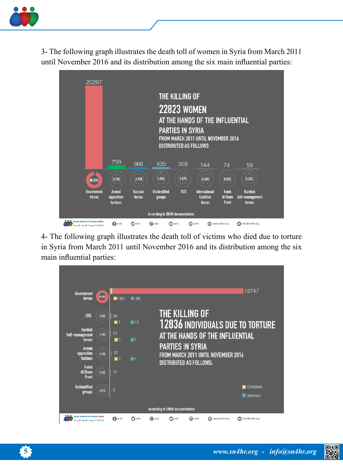

3- The following graph illustrates the death toll of women in Syria from March 2011 until November 2016 and its distribution among the six main influential parties:



4- The following graph illustrates the death toll of victims who died due to torture in Syria from March 2011 until November 2016 and its distribution among the six main influential parties:





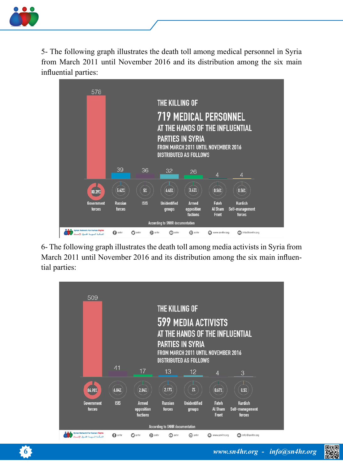

5- The following graph illustrates the death toll among medical personnel in Syria from March 2011 until November 2016 and its distribution among the six main influential parties:



6- The following graph illustrates the death toll among media activists in Syria from March 2011 until November 2016 and its distribution among the six main influen-<br>tial parties: